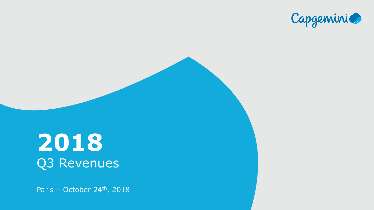

Title of the presentation of the presentation

# **2018** Q3 Revenues

Paris - October 24<sup>th</sup>, 2018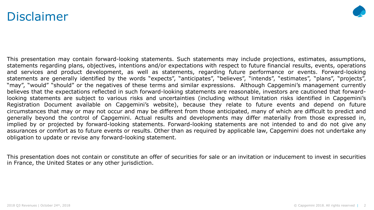### Disclaimer



This presentation may contain forward-looking statements. Such statements may include projections, estimates, assumptions, statements regarding plans, objectives, intentions and/or expectations with respect to future financial results, events, operations and services and product development, as well as statements, regarding future performance or events. Forward-looking statements are generally identified by the words "expects", "anticipates", "believes", "intends", "estimates", "plans", "projects", "may", "would" "should" or the negatives of these terms and similar expressions. Although Capgemini's management currently believes that the expectations reflected in such forward-looking statements are reasonable, investors are cautioned that forwardlooking statements are subject to various risks and uncertainties (including without limitation risks identified in Capgemini's Registration Document available on Capgemini's website), because they relate to future events and depend on future circumstances that may or may not occur and may be different from those anticipated, many of which are difficult to predict and generally beyond the control of Capgemini. Actual results and developments may differ materially from those expressed in, implied by or projected by forward-looking statements. Forward-looking statements are not intended to and do not give any assurances or comfort as to future events or results. Other than as required by applicable law, Capgemini does not undertake any obligation to update or revise any forward-looking statement.

This presentation does not contain or constitute an offer of securities for sale or an invitation or inducement to invest in securities in France, the United States or any other jurisdiction.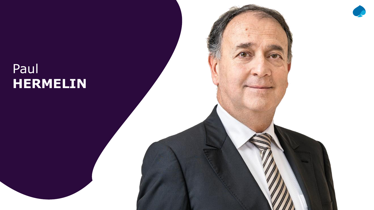## Paul **HERMELIN**

 $2018 \times 241$  and  $241 \times 241$  capacity reserved.  $241$  and  $241 \times 241$  and  $241 \times 241$  and  $241 \times 241$  and  $241 \times 241$ 

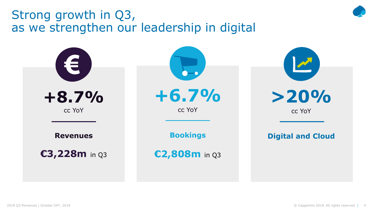### Strong growth in Q3, as we strengthen our leadership in digital

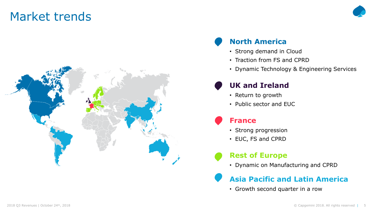### Market trends



### **North America**

- Strong demand in Cloud
- Traction from FS and CPRD
- Dynamic Technology & Engineering Services

### **UK and Ireland**

- Return to growth
- Public sector and EUC

### **France**

- Strong progression
- EUC, FS and CPRD

### **Rest of Europe**

• Dynamic on Manufacturing and CPRD

### **Asia Pacific and Latin America**

• Growth second quarter in a row

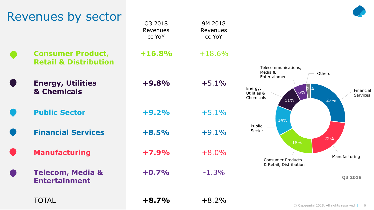| <b>Manufacturing</b><br><b>Telecom, Media &amp;</b><br><b>Entertainment</b> | $+7.9%$<br>$+0.7%$ | $+8.0\%$<br>$-1.3%$ | <b>TO 70</b><br>Manufacturing<br><b>Consumer Products</b><br>& Retail, Distribution<br>Q3 2018 |  |
|-----------------------------------------------------------------------------|--------------------|---------------------|------------------------------------------------------------------------------------------------|--|
| <b>TOTAL</b>                                                                | $+8.7%$            | $+8.2%$             | © Capgemini 2018. All rights reserved   6                                                      |  |



**Retail & Distribution Energy, Utilities**

**& Chemicals**

**Financial Services +8.5%** +9.1%

Revenues

**+9.8%** +5.1%

**Public Sector +9.2%** +5.1%

18% Public Sector

14%

Telecommunications,

Media & Entertainment

Energy, Utilities & Chemicals

11%

6%

2%

Financial Services

27%

**Others** 

22%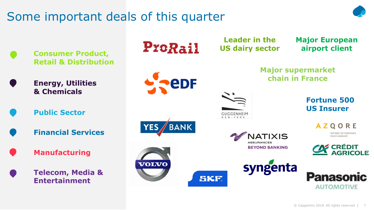## Some important deals of this quarter



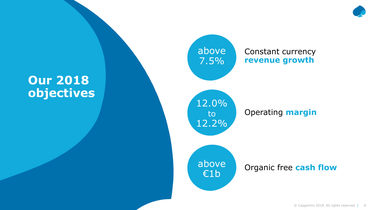### **Our 2018 objectives**

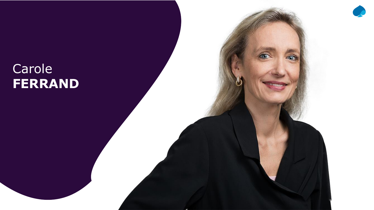## Carole **FERRAND**

2018 Q3 Revenues | October 24th, 2018 © 2018 © 2018 © 2018 © 2018 Capgemini 2018. All rights reserved in the c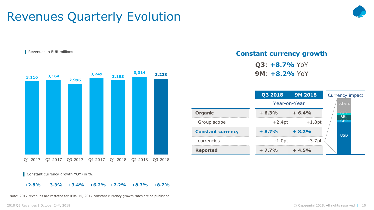### Revenues Quarterly Evolution





Constant currency growth YOY (in %)

#### **+2.8% +3.3% +3.4% +6.2% +7.2% +8.7% +8.7%**

Note: 2017 revenues are restated for IFRS 15, 2017 constant currency growth rates are as published

#### **Constant currency growth**

**Q3**: **+8.7%** YoY **9M**: **+8.2%** YoY

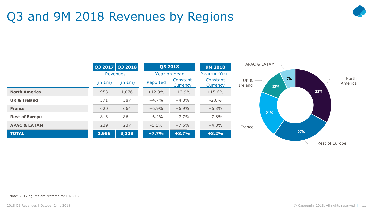## Q3 and 9M 2018 Revenues by Regions





Rest of Europe

Note: 2017 figures are restated for IFRS 15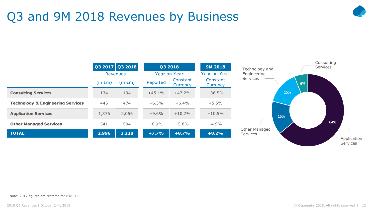## Q3 and 9M 2018 Revenues by Business





Note: 2017 figures are restated for IFRS 15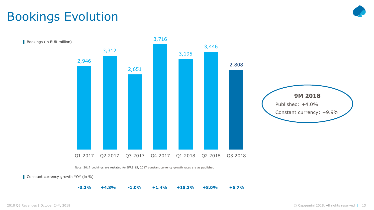## Bookings Evolution



Note: 2017 bookings are restated for IFRS 15, 2017 constant currency growth rates are as published

Constant currency growth YOY (in %)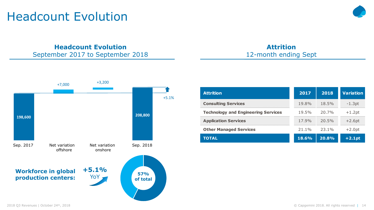### Headcount Evolution

**Attrition**



**Headcount Evolution**

September 2017 to September 2018

| <b>Attrition</b>                           | 2017     | 2018     | <b>Variation</b> |
|--------------------------------------------|----------|----------|------------------|
| <b>Consulting Services</b>                 | $19.8\%$ | $18.5\%$ | $-1.3pt$         |
| <b>Technology and Engineering Services</b> | 19.5%    | 20.7%    | $+1.2pt$         |
| <b>Application Services</b>                | $17.9\%$ | 20.5%    | $+2.6pt$         |
| <b>Other Managed Services</b>              | $21.1\%$ | $23.1\%$ | $+2.0pt$         |
| <b>TOTAL</b>                               | 18.6%    | 20.8%    | $+2.1pt$         |

12-month ending Sept

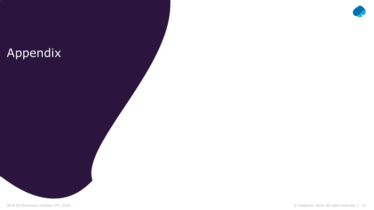## Appendix

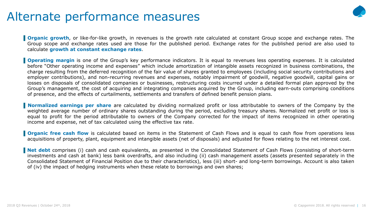### Alternate performance measures



**Organic growth**, or like-for-like growth, in revenues is the growth rate calculated at constant Group scope and exchange rates. The Group scope and exchange rates used are those for the published period. Exchange rates for the published period are also used to calculate **growth at constant exchange rates**.

**Operating margin** is one of the Group's key performance indicators. It is equal to revenues less operating expenses. It is calculated before "Other operating income and expenses" which include amortization of intangible assets recognized in business combinations, the charge resulting from the deferred recognition of the fair value of shares granted to employees (including social security contributions and employer contributions), and non-recurring revenues and expenses, notably impairment of goodwill, negative goodwill, capital gains or losses on disposals of consolidated companies or businesses, restructuring costs incurred under a detailed formal plan approved by the Group's management, the cost of acquiring and integrating companies acquired by the Group, including earn-outs comprising conditions of presence, and the effects of curtailments, settlements and transfers of defined benefit pension plans.

**Normalized earnings per share** are calculated by dividing normalized profit or loss attributable to owners of the Company by the weighted average number of ordinary shares outstanding during the period, excluding treasury shares. Normalized net profit or loss is equal to profit for the period attributable to owners of the Company corrected for the impact of items recognized in other operating income and expense, net of tax calculated using the effective tax rate.

**Organic free cash flow** is calculated based on items in the Statement of Cash Flows and is equal to cash flow from operations less acquisitions of property, plant, equipment and intangible assets (net of disposals) and adjusted for flows relating to the net interest cost.

**Net debt** comprises (i) cash and cash equivalents, as presented in the Consolidated Statement of Cash Flows (consisting of short-term investments and cash at bank) less bank overdrafts, and also including (ii) cash management assets (assets presented separately in the Consolidated Statement of Financial Position due to their characteristics), less (iii) short- and long-term borrowings. Account is also taken of (iv) the impact of hedging instruments when these relate to borrowings and own shares;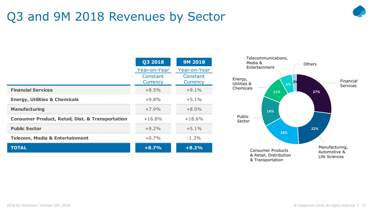## Q3 and 9M 2018 Revenues by Sector



|                                                             | Q3 2018      | <b>9M 2018</b> |
|-------------------------------------------------------------|--------------|----------------|
|                                                             | Year-on-Year | Year-on-Year   |
|                                                             | Constant     | Constant       |
|                                                             | Currency     | Currency       |
| <b>Financial Services</b>                                   | $+8.5%$      | $+9.1%$        |
| <b>Energy, Utilities &amp; Chemicals</b>                    | $+9.8\%$     | $+5.1\%$       |
| <b>Manufacturing</b>                                        | $+7.9%$      | $+8.0\%$       |
| <b>Consumer Product, Retail, Dist. &amp; Transportation</b> | $+16.8\%$    | $+18.6%$       |
| <b>Public Sector</b>                                        | $+9.2%$      | $+5.1%$        |
| <b>Telecom, Media &amp; Entertainment</b>                   | $+0.7%$      | $-1.3%$        |
| <b>TOTAL</b>                                                | $+8.7%$      | $+8.2%$        |

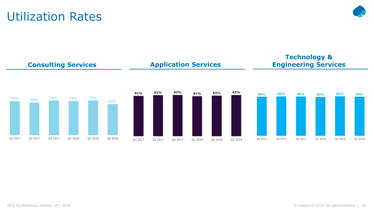#### 2018 Q3 Revenues | October 24th, 2018 © Capgemini 2018. All rights reserved | 18

**Technology & Engineering Services**



**Application Services**

### Utilization Rates

**Consulting Services**